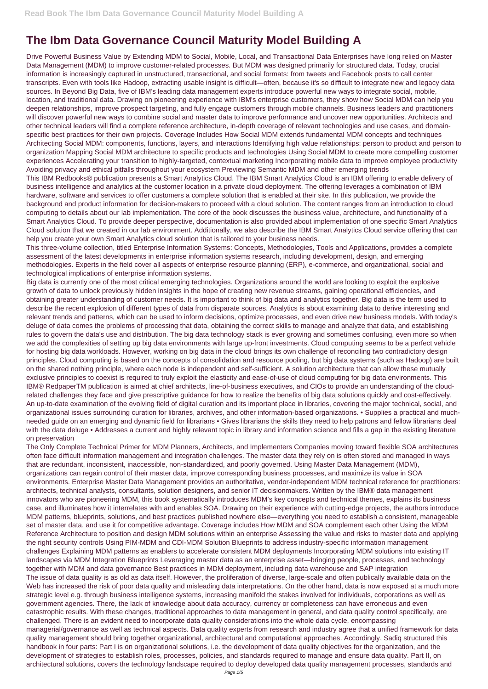## **The Ibm Data Governance Council Maturity Model Building A**

Drive Powerful Business Value by Extending MDM to Social, Mobile, Local, and Transactional Data Enterprises have long relied on Master Data Management (MDM) to improve customer-related processes. But MDM was designed primarily for structured data. Today, crucial information is increasingly captured in unstructured, transactional, and social formats: from tweets and Facebook posts to call center transcripts. Even with tools like Hadoop, extracting usable insight is difficult—often, because it's so difficult to integrate new and legacy data sources. In Beyond Big Data, five of IBM's leading data management experts introduce powerful new ways to integrate social, mobile, location, and traditional data. Drawing on pioneering experience with IBM's enterprise customers, they show how Social MDM can help you deepen relationships, improve prospect targeting, and fully engage customers through mobile channels. Business leaders and practitioners will discover powerful new ways to combine social and master data to improve performance and uncover new opportunities. Architects and other technical leaders will find a complete reference architecture, in-depth coverage of relevant technologies and use cases, and domainspecific best practices for their own projects. Coverage Includes How Social MDM extends fundamental MDM concepts and techniques Architecting Social MDM: components, functions, layers, and interactions Identifying high value relationships: person to product and person to organization Mapping Social MDM architecture to specific products and technologies Using Social MDM to create more compelling customer experiences Accelerating your transition to highly-targeted, contextual marketing Incorporating mobile data to improve employee productivity Avoiding privacy and ethical pitfalls throughout your ecosystem Previewing Semantic MDM and other emerging trends

This IBM Redbooks® publication presents a Smart Analytics Cloud. The IBM Smart Analytics Cloud is an IBM offering to enable delivery of business intelligence and analytics at the customer location in a private cloud deployment. The offering leverages a combination of IBM hardware, software and services to offer customers a complete solution that is enabled at their site. In this publication, we provide the background and product information for decision-makers to proceed with a cloud solution. The content ranges from an introduction to cloud computing to details about our lab implementation. The core of the book discusses the business value, architecture, and functionality of a Smart Analytics Cloud. To provide deeper perspective, documentation is also provided about implementation of one specific Smart Analytics Cloud solution that we created in our lab environment. Additionally, we also describe the IBM Smart Analytics Cloud service offering that can help you create your own Smart Analytics cloud solution that is tailored to your business needs.

This three-volume collection, titled Enterprise Information Systems: Concepts, Methodologies, Tools and Applications, provides a complete assessment of the latest developments in enterprise information systems research, including development, design, and emerging methodologies. Experts in the field cover all aspects of enterprise resource planning (ERP), e-commerce, and organizational, social and technological implications of enterprise information systems.

Big data is currently one of the most critical emerging technologies. Organizations around the world are looking to exploit the explosive growth of data to unlock previously hidden insights in the hope of creating new revenue streams, gaining operational efficiencies, and obtaining greater understanding of customer needs. It is important to think of big data and analytics together. Big data is the term used to describe the recent explosion of different types of data from disparate sources. Analytics is about examining data to derive interesting and relevant trends and patterns, which can be used to inform decisions, optimize processes, and even drive new business models. With today's deluge of data comes the problems of processing that data, obtaining the correct skills to manage and analyze that data, and establishing rules to govern the data's use and distribution. The big data technology stack is ever growing and sometimes confusing, even more so when we add the complexities of setting up big data environments with large up-front investments. Cloud computing seems to be a perfect vehicle for hosting big data workloads. However, working on big data in the cloud brings its own challenge of reconciling two contradictory design principles. Cloud computing is based on the concepts of consolidation and resource pooling, but big data systems (such as Hadoop) are built on the shared nothing principle, where each node is independent and self-sufficient. A solution architecture that can allow these mutually exclusive principles to coexist is required to truly exploit the elasticity and ease-of-use of cloud computing for big data environments. This IBM® RedpaperTM publication is aimed at chief architects, line-of-business executives, and CIOs to provide an understanding of the cloudrelated challenges they face and give prescriptive guidance for how to realize the benefits of big data solutions quickly and cost-effectively. An up-to-date examination of the evolving field of digital curation and its important place in libraries, covering the major technical, social, and organizational issues surrounding curation for libraries, archives, and other information-based organizations. • Supplies a practical and muchneeded guide on an emerging and dynamic field for librarians • Gives librarians the skills they need to help patrons and fellow librarians deal with the data deluge • Addresses a current and highly relevant topic in library and information science and fills a gap in the existing literature on preservation

The Only Complete Technical Primer for MDM Planners, Architects, and Implementers Companies moving toward flexible SOA architectures often face difficult information management and integration challenges. The master data they rely on is often stored and managed in ways that are redundant, inconsistent, inaccessible, non-standardized, and poorly governed. Using Master Data Management (MDM), organizations can regain control of their master data, improve corresponding business processes, and maximize its value in SOA environments. Enterprise Master Data Management provides an authoritative, vendor-independent MDM technical reference for practitioners: architects, technical analysts, consultants, solution designers, and senior IT decisionmakers. Written by the IBM® data management innovators who are pioneering MDM, this book systematically introduces MDM's key concepts and technical themes, explains its business case, and illuminates how it interrelates with and enables SOA. Drawing on their experience with cutting-edge projects, the authors introduce MDM patterns, blueprints, solutions, and best practices published nowhere else—everything you need to establish a consistent, manageable set of master data, and use it for competitive advantage. Coverage includes How MDM and SOA complement each other Using the MDM Reference Architecture to position and design MDM solutions within an enterprise Assessing the value and risks to master data and applying the right security controls Using PIM-MDM and CDI-MDM Solution Blueprints to address industry-specific information management challenges Explaining MDM patterns as enablers to accelerate consistent MDM deployments Incorporating MDM solutions into existing IT landscapes via MDM Integration Blueprints Leveraging master data as an enterprise asset—bringing people, processes, and technology together with MDM and data governance Best practices in MDM deployment, including data warehouse and SAP integration The issue of data quality is as old as data itself. However, the proliferation of diverse, large-scale and often publically available data on the Web has increased the risk of poor data quality and misleading data interpretations. On the other hand, data is now exposed at a much more strategic level e.g. through business intelligence systems, increasing manifold the stakes involved for individuals, corporations as well as government agencies. There, the lack of knowledge about data accuracy, currency or completeness can have erroneous and even catastrophic results. With these changes, traditional approaches to data management in general, and data quality control specifically, are challenged. There is an evident need to incorporate data quality considerations into the whole data cycle, encompassing managerial/governance as well as technical aspects. Data quality experts from research and industry agree that a unified framework for data quality management should bring together organizational, architectural and computational approaches. Accordingly, Sadiq structured this handbook in four parts: Part I is on organizational solutions, i.e. the development of data quality objectives for the organization, and the development of strategies to establish roles, processes, policies, and standards required to manage and ensure data quality. Part II, on architectural solutions, covers the technology landscape required to deploy developed data quality management processes, standards and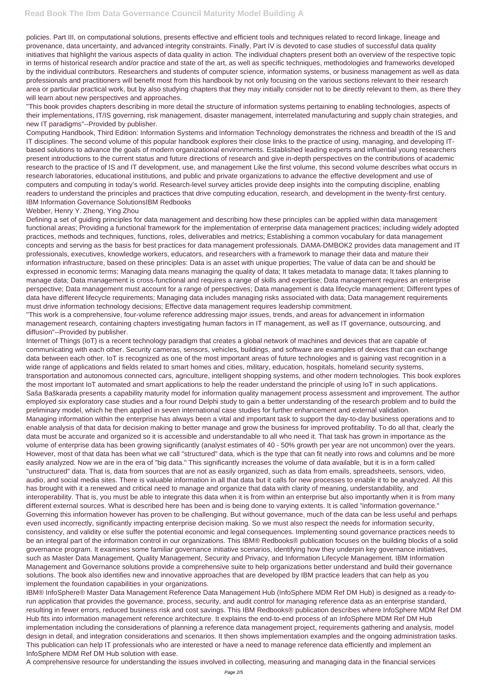policies. Part III, on computational solutions, presents effective and efficient tools and techniques related to record linkage, lineage and provenance, data uncertainty, and advanced integrity constraints. Finally, Part IV is devoted to case studies of successful data quality initiatives that highlight the various aspects of data quality in action. The individual chapters present both an overview of the respective topic in terms of historical research and/or practice and state of the art, as well as specific techniques, methodologies and frameworks developed by the individual contributors. Researchers and students of computer science, information systems, or business management as well as data professionals and practitioners will benefit most from this handbook by not only focusing on the various sections relevant to their research area or particular practical work, but by also studying chapters that they may initially consider not to be directly relevant to them, as there they will learn about new perspectives and approaches.

"This book provides chapters describing in more detail the structure of information systems pertaining to enabling technologies, aspects of their implementations, IT/IS governing, risk management, disaster management, interrelated manufacturing and supply chain strategies, and new IT paradigms"--Provided by publisher.

Computing Handbook, Third Edition: Information Systems and Information Technology demonstrates the richness and breadth of the IS and IT disciplines. The second volume of this popular handbook explores their close links to the practice of using, managing, and developing ITbased solutions to advance the goals of modern organizational environments. Established leading experts and influential young researchers present introductions to the current status and future directions of research and give in-depth perspectives on the contributions of academic research to the practice of IS and IT development, use, and management Like the first volume, this second volume describes what occurs in research laboratories, educational institutions, and public and private organizations to advance the effective development and use of computers and computing in today's world. Research-level survey articles provide deep insights into the computing discipline, enabling readers to understand the principles and practices that drive computing education, research, and development in the twenty-first century. IBM Information Governance SolutionsIBM Redbooks

## Webber, Henry Y. Zheng, Ying Zhou

Defining a set of guiding principles for data management and describing how these principles can be applied within data management functional areas; Providing a functional framework for the implementation of enterprise data management practices; including widely adopted practices, methods and techniques, functions, roles, deliverables and metrics; Establishing a common vocabulary for data management concepts and serving as the basis for best practices for data management professionals. DAMA-DMBOK2 provides data management and IT professionals, executives, knowledge workers, educators, and researchers with a framework to manage their data and mature their information infrastructure, based on these principles: Data is an asset with unique properties; The value of data can be and should be expressed in economic terms; Managing data means managing the quality of data; It takes metadata to manage data; It takes planning to manage data; Data management is cross-functional and requires a range of skills and expertise; Data management requires an enterprise perspective; Data management must account for a range of perspectives; Data management is data lifecycle management; Different types of data have different lifecycle requirements; Managing data includes managing risks associated with data; Data management requirements must drive information technology decisions; Effective data management requires leadership commitment.

"This work is a comprehensive, four-volume reference addressing major issues, trends, and areas for advancement in information management research, containing chapters investigating human factors in IT management, as well as IT governance, outsourcing, and diffusion"--Provided by publisher.

Internet of Things (IoT) is a recent technology paradigm that creates a global network of machines and devices that are capable of communicating with each other. Security cameras, sensors, vehicles, buildings, and software are examples of devices that can exchange data between each other. IoT is recognized as one of the most important areas of future technologies and is gaining vast recognition in a wide range of applications and fields related to smart homes and cities, military, education, hospitals, homeland security systems, transportation and autonomous connected cars, agriculture, intelligent shopping systems, and other modern technologies. This book explores the most important IoT automated and smart applications to help the reader understand the principle of using IoT in such applications. Saša Baškarada presents a capability maturity model for information quality management process assessment and improvement. The author employed six exploratory case studies and a four round Delphi study to gain a better understanding of the research problem and to build the preliminary model, which he then applied in seven international case studies for further enhancement and external validation. Managing information within the enterprise has always been a vital and important task to support the day-to-day business operations and to enable analysis of that data for decision making to better manage and grow the business for improved profitability. To do all that, clearly the data must be accurate and organized so it is accessible and understandable to all who need it. That task has grown in importance as the volume of enterprise data has been growing significantly (analyst estimates of 40 - 50% growth per year are not uncommon) over the years. However, most of that data has been what we call "structured" data, which is the type that can fit neatly into rows and columns and be more easily analyzed. Now we are in the era of "big data." This significantly increases the volume of data available, but it is in a form called "unstructured" data. That is, data from sources that are not as easily organized, such as data from emails, spreadsheets, sensors, video, audio, and social media sites. There is valuable information in all that data but it calls for new processes to enable it to be analyzed. All this has brought with it a renewed and critical need to manage and organize that data with clarity of meaning, understandability, and interoperability. That is, you must be able to integrate this data when it is from within an enterprise but also importantly when it is from many different external sources. What is described here has been and is being done to varying extents. It is called "information governance." Governing this information however has proven to be challenging. But without governance, much of the data can be less useful and perhaps even used incorrectly, significantly impacting enterprise decision making. So we must also respect the needs for information security, consistency, and validity or else suffer the potential economic and legal consequences. Implementing sound governance practices needs to be an integral part of the information control in our organizations. This IBM® Redbooks® publication focuses on the building blocks of a solid governance program. It examines some familiar governance initiative scenarios, identifying how they underpin key governance initiatives, such as Master Data Management, Quality Management, Security and Privacy, and Information Lifecycle Management. IBM Information Management and Governance solutions provide a comprehensive suite to help organizations better understand and build their governance solutions. The book also identifies new and innovative approaches that are developed by IBM practice leaders that can help as you implement the foundation capabilities in your organizations. IBM® InfoSphere® Master Data Management Reference Data Management Hub (InfoSphere MDM Ref DM Hub) is designed as a ready-torun application that provides the governance, process, security, and audit control for managing reference data as an enterprise standard, resulting in fewer errors, reduced business risk and cost savings. This IBM Redbooks® publication describes where InfoSphere MDM Ref DM Hub fits into information management reference architecture. It explains the end-to-end process of an InfoSphere MDM Ref DM Hub implementation including the considerations of planning a reference data management project, requirements gathering and analysis, model design in detail, and integration considerations and scenarios. It then shows implementation examples and the ongoing administration tasks. This publication can help IT professionals who are interested or have a need to manage reference data efficiently and implement an InfoSphere MDM Ref DM Hub solution with ease.

A comprehensive resource for understanding the issues involved in collecting, measuring and managing data in the financial services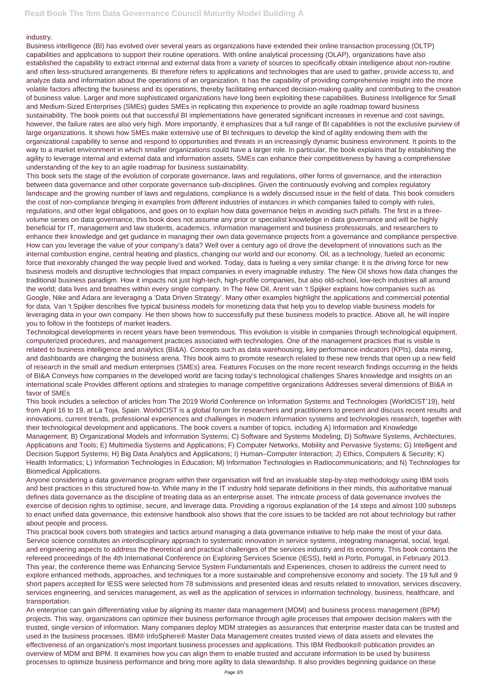## industry.

Business intelligence (BI) has evolved over several years as organizations have extended their online transaction processing (OLTP) capabilities and applications to support their routine operations. With online analytical processing (OLAP), organizations have also established the capability to extract internal and external data from a variety of sources to specifically obtain intelligence about non-routine and often less-structured arrangements. BI therefore refers to applications and technologies that are used to gather, provide access to, and analyze data and information about the operations of an organization. It has the capability of providing comprehensive insight into the more volatile factors affecting the business and its operations, thereby facilitating enhanced decision-making quality and contributing to the creation of business value. Larger and more sophisticated organizations have long been exploiting these capabilities. Business Intelligence for Small and Medium-Sized Enterprises (SMEs) guides SMEs in replicating this experience to provide an agile roadmap toward business sustainability. The book points out that successful BI implementations have generated significant increases in revenue and cost savings, however, the failure rates are also very high. More importantly, it emphasizes that a full range of BI capabilities is not the exclusive purview of large organizations. It shows how SMEs make extensive use of BI techniques to develop the kind of agility endowing them with the organizational capability to sense and respond to opportunities and threats in an increasingly dynamic business environment. It points to the way to a market environment in which smaller organizations could have a larger role. In particular, the book explains that by establishing the agility to leverage internal and external data and information assets, SMEs can enhance their competitiveness by having a comprehensive understanding of the key to an agile roadmap for business sustainability.

This book sets the stage of the evolution of corporate governance, laws and regulations, other forms of governance, and the interaction between data governance and other corporate governance sub-disciplines. Given the continuously evolving and complex regulatory landscape and the growing number of laws and regulations, compliance is a widely discussed issue in the field of data. This book considers the cost of non-compliance bringing in examples from different industries of instances in which companies failed to comply with rules, regulations, and other legal obligations, and goes on to explain how data governance helps in avoiding such pitfalls. The first in a threevolume series on data governance, this book does not assume any prior or specialist knowledge in data governance and will be highly beneficial for IT, management and law students, academics, information management and business professionals, and researchers to enhance their knowledge and get guidance in managing their own data governance projects from a governance and compliance perspective. How can you leverage the value of your company's data? Well over a century ago oil drove the development of innovations such as the internal combustion engine, central heating and plastics, changing our world and our economy. Oil, as a technology, fueled an economic force that inexorably changed the way people lived and worked. Today, data is fueling a very similar change: it is the driving force for new business models and disruptive technologies that impact companies in every imaginable industry. The New Oil shows how data changes the traditional business paradigm. How it impacts not just high-tech, high-profile companies, but also old-school, low-tech industries all around the world; data lives and breathes within every single company. In The New Oil, Arent van 't Spijker explains how companies such as Google, Nike and Adara are leveraging a 'Data Driven Strategy'. Many other examples highlight the applications and commercial potential for data. Van 't Spijker describes five typical business models for monetizing data that help you to develop viable business models for leveraging data in your own company. He then shows how to successfully put these business models to practice. Above all, he will inspire you to follow in the footsteps of market leaders.

Technological developments in recent years have been tremendous. This evolution is visible in companies through technological equipment, computerized procedures, and management practices associated with technologies. One of the management practices that is visible is related to business intelligence and analytics (BI&A). Concepts such as data warehousing, key performance indicators (KPIs), data mining, and dashboards are changing the business arena. This book aims to promote research related to these new trends that open up a new field of research in the small and medium enterprises (SMEs) area. Features Focuses on the more recent research findings occurring in the fields of BI&A Conveys how companies in the developed world are facing today's technological challenges Shares knowledge and insights on an international scale Provides different options and strategies to manage competitive organizations Addresses several dimensions of BI&A in favor of SMEs

This book includes a selection of articles from The 2019 World Conference on Information Systems and Technologies (WorldCIST'19), held from April 16 to 19, at La Toja, Spain. WorldCIST is a global forum for researchers and practitioners to present and discuss recent results and innovations, current trends, professional experiences and challenges in modern information systems and technologies research, together with their technological development and applications. The book covers a number of topics, including A) Information and Knowledge Management; B) Organizational Models and Information Systems; C) Software and Systems Modeling; D) Software Systems, Architectures, Applications and Tools; E) Multimedia Systems and Applications; F) Computer Networks, Mobility and Pervasive Systems; G) Intelligent and Decision Support Systems; H) Big Data Analytics and Applications; I) Human–Computer Interaction; J) Ethics, Computers & Security; K) Health Informatics; L) Information Technologies in Education; M) Information Technologies in Radiocommunications; and N) Technologies for Biomedical Applications.

Anyone considering a data governance program within their organisation will find an invaluable step-by-step methodology using IBM tools and best practices in this structured how-to. While many in the IT industry hold separate definitions in their minds, this authoritative manual defines data governance as the discipline of treating data as an enterprise asset. The intricate process of data governance involves the exercise of decision rights to optimise, secure, and leverage data. Providing a rigorous explanation of the 14 steps and almost 100 substeps to enact unified data governance, this extensive handbook also shows that the core issues to be tackled are not about technology but rather

about people and process.

This practical book covers both strategies and tactics around managing a data governance initiative to help make the most of your data. Service science constitutes an interdisciplinary approach to systematic innovation in service systems, integrating managerial, social, legal, and engineering aspects to address the theoretical and practical challenges of the services industry and its economy. This book contains the refereed proceedings of the 4th International Conference on Exploring Services Science (IESS), held in Porto, Portugal, in February 2013. This year, the conference theme was Enhancing Service System Fundamentals and Experiences, chosen to address the current need to explore enhanced methods, approaches, and techniques for a more sustainable and comprehensive economy and society. The 19 full and 9 short papers accepted for IESS were selected from 78 submissions and presented ideas and results related to innovation, services discovery, services engineering, and services management, as well as the application of services in information technology, business, healthcare, and transportation.

An enterprise can gain differentiating value by aligning its master data management (MDM) and business process management (BPM) projects. This way, organizations can optimize their business performance through agile processes that empower decision makers with the trusted, single version of information. Many companies deploy MDM strategies as assurances that enterprise master data can be trusted and used in the business processes. IBM® InfoSphere® Master Data Management creates trusted views of data assets and elevates the effectiveness of an organization's most important business processes and applications. This IBM Redbooks® publication provides an overview of MDM and BPM. It examines how you can align them to enable trusted and accurate information to be used by business processes to optimize business performance and bring more agility to data stewardship. It also provides beginning guidance on these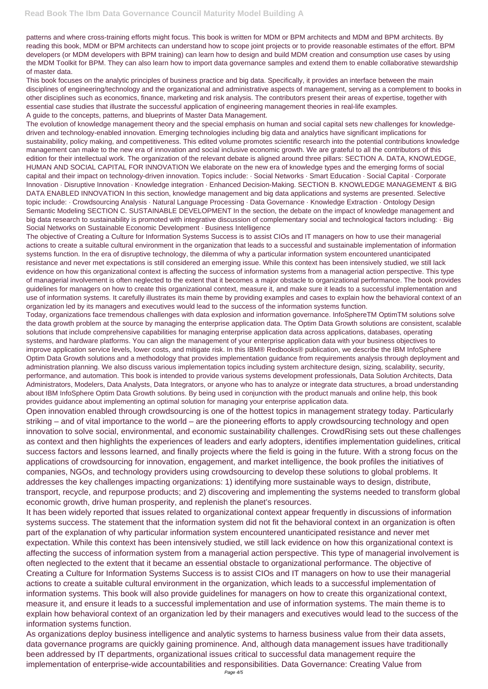patterns and where cross-training efforts might focus. This book is written for MDM or BPM architects and MDM and BPM architects. By reading this book, MDM or BPM architects can understand how to scope joint projects or to provide reasonable estimates of the effort. BPM developers (or MDM developers with BPM training) can learn how to design and build MDM creation and consumption use cases by using the MDM Toolkit for BPM. They can also learn how to import data governance samples and extend them to enable collaborative stewardship of master data.

This book focuses on the analytic principles of business practice and big data. Specifically, it provides an interface between the main disciplines of engineering/technology and the organizational and administrative aspects of management, serving as a complement to books in other disciplines such as economics, finance, marketing and risk analysis. The contributors present their areas of expertise, together with essential case studies that illustrate the successful application of engineering management theories in real-life examples. A guide to the concepts, patterns, and blueprints of Master Data Management.

The evolution of knowledge management theory and the special emphasis on human and social capital sets new challenges for knowledgedriven and technology-enabled innovation. Emerging technologies including big data and analytics have significant implications for sustainability, policy making, and competitiveness. This edited volume promotes scientific research into the potential contributions knowledge management can make to the new era of innovation and social inclusive economic growth. We are grateful to all the contributors of this edition for their intellectual work. The organization of the relevant debate is aligned around three pillars: SECTION A. DATA, KNOWLEDGE, HUMAN AND SOCIAL CAPITAL FOR INNOVATION We elaborate on the new era of knowledge types and the emerging forms of social capital and their impact on technology-driven innovation. Topics include: · Social Networks · Smart Education · Social Capital · Corporate Innovation · Disruptive Innovation · Knowledge integration · Enhanced Decision-Making. SECTION B. KNOWLEDGE MANAGEMENT & BIG DATA ENABLED INNOVATION In this section, knowledge management and big data applications and systems are presented. Selective topic include: · Crowdsourcing Analysis · Natural Language Processing · Data Governance · Knowledge Extraction · Ontology Design Semantic Modeling SECTION C. SUSTAINABLE DEVELOPMENT In the section, the debate on the impact of knowledge management and big data research to sustainability is promoted with integrative discussion of complementary social and technological factors including: · Big Social Networks on Sustainable Economic Development · Business Intelligence

The objective of Creating a Culture for Information Systems Success is to assist CIOs and IT managers on how to use their managerial actions to create a suitable cultural environment in the organization that leads to a successful and sustainable implementation of information systems function. In the era of disruptive technology, the dilemma of why a particular information system encountered unanticipated resistance and never met expectations is still considered an emerging issue. While this context has been intensively studied, we still lack evidence on how this organizational context is affecting the success of information systems from a managerial action perspective. This type of managerial involvement is often neglected to the extent that it becomes a major obstacle to organizational performance. The book provides guidelines for managers on how to create this organizational context, measure it, and make sure it leads to a successful implementation and use of information systems. It carefully illustrates its main theme by providing examples and cases to explain how the behavioral context of an organization led by its managers and executives would lead to the success of the information systems function.

Today, organizations face tremendous challenges with data explosion and information governance. InfoSphereTM OptimTM solutions solve the data growth problem at the source by managing the enterprise application data. The Optim Data Growth solutions are consistent, scalable solutions that include comprehensive capabilities for managing enterprise application data across applications, databases, operating systems, and hardware platforms. You can align the management of your enterprise application data with your business objectives to improve application service levels, lower costs, and mitigate risk. In this IBM® Redbooks® publication, we describe the IBM InfoSphere Optim Data Growth solutions and a methodology that provides implementation guidance from requirements analysis through deployment and administration planning. We also discuss various implementation topics including system architecture design, sizing, scalability, security, performance, and automation. This book is intended to provide various systems development professionals, Data Solution Architects, Data Administrators, Modelers, Data Analysts, Data Integrators, or anyone who has to analyze or integrate data structures, a broad understanding about IBM InfoSphere Optim Data Growth solutions. By being used in conjunction with the product manuals and online help, this book provides guidance about implementing an optimal solution for managing your enterprise application data.

Open innovation enabled through crowdsourcing is one of the hottest topics in management strategy today. Particularly striking – and of vital importance to the world – are the pioneering efforts to apply crowdsourcing technology and open innovation to solve social, environmental, and economic sustainability challenges. CrowdRising sets out these challenges as context and then highlights the experiences of leaders and early adopters, identifies implementation guidelines, critical success factors and lessons learned, and finally projects where the field is going in the future. With a strong focus on the applications of crowdsourcing for innovation, engagement, and market intelligence, the book profiles the initiatives of companies, NGOs, and technology providers using crowdsourcing to develop these solutions to global problems. It addresses the key challenges impacting organizations: 1) identifying more sustainable ways to design, distribute, transport, recycle, and repurpose products; and 2) discovering and implementing the systems needed to transform global economic growth, drive human prosperity, and replenish the planet's resources.

It has been widely reported that issues related to organizational context appear frequently in discussions of information systems success. The statement that the information system did not fit the behavioral context in an organization is often part of the explanation of why particular information system encountered unanticipated resistance and never met expectation. While this context has been intensively studied, we still lack evidence on how this organizational context is affecting the success of information system from a managerial action perspective. This type of managerial involvement is often neglected to the extent that it became an essential obstacle to organizational performance. The objective of Creating a Culture for Information Systems Success is to assist CIOs and IT managers on how to use their managerial actions to create a suitable cultural environment in the organization, which leads to a successful implementation of information systems. This book will also provide guidelines for managers on how to create this organizational context, measure it, and ensure it leads to a successful implementation and use of information systems. The main theme is to explain how behavioral context of an organization led by their managers and executives would lead to the success of the information systems function. As organizations deploy business intelligence and analytic systems to harness business value from their data assets, data governance programs are quickly gaining prominence. And, although data management issues have traditionally been addressed by IT departments, organizational issues critical to successful data management require the implementation of enterprise-wide accountabilities and responsibilities. Data Governance: Creating Value from Page 4/5